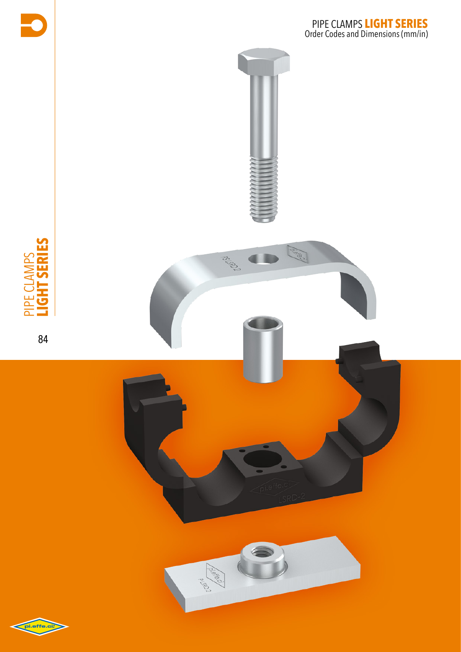

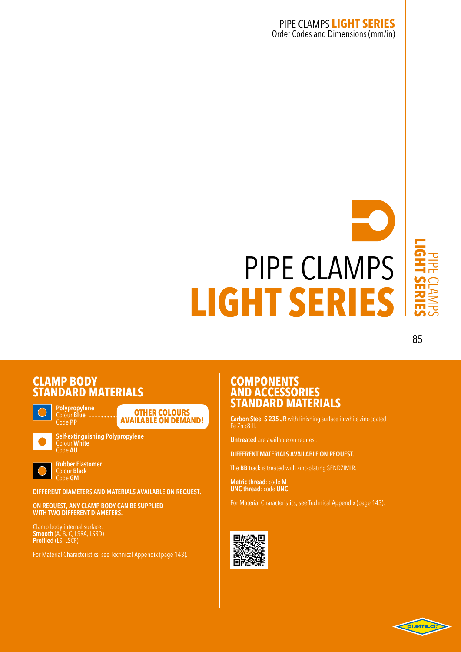# pipe clamps **light series**

#### 85

#### **CLAMP**<sub>B</sub> **STANDARD M**

**Polypropylene Other colours available on demand!**



**Self-extinguishing Polypropylene** Colour **White** Code **AU**



**Rubber Elastomer**  Colour **Black**  Code **GM**

Colour **Blue** Code **PP**

**DIFFERENT DIAMETERS AND MATERIALS AVAILABLE ON REQUEST.**

**ON REQUEST, ANY CLAMP BODY CAN BE SUPPLIED WITH TWO DIFFERENT DIAMETERS.**

Clamp body internal surface: **Smooth** (A, B, C, LSRA, LSRD) **Profiled** (LS, LSCF)

For Material Characteristics, see Technical Appendix (page 143).

#### **COMPONENTS ANDA STANDARD M**

**Carbon Steel S 235 JR** with finishing surface in white zinc-coated Fe Zn c8 II.

**Untreated** are available on request.

**DIFFERENT MATERIALS AVAILABLE ON REQUEST.**

The **BB** track is treated with zinc-plating SENDZIMIR.

**Metric thread**: code **M UNC thread**: code **UNC**.

For Material Characteristics, see Technical Appendix (page 143).



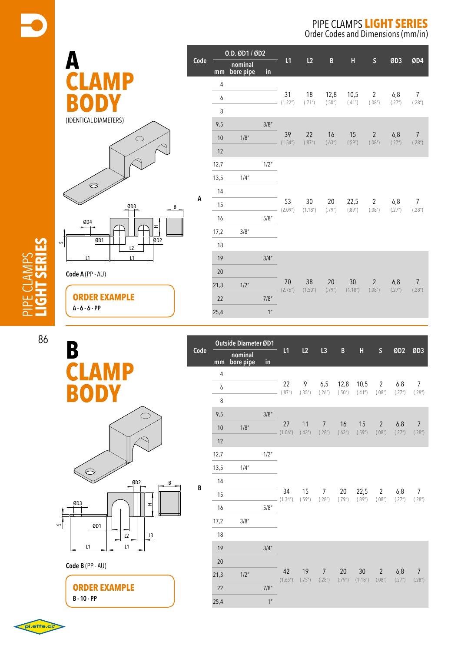Order Codes and Dimensions (mm/in)



**A**

**Code**

|  |                | 0.D. ØD1 / ØD2       |                 |                            |                                             |                |                            |                          |               |                          |
|--|----------------|----------------------|-----------------|----------------------------|---------------------------------------------|----------------|----------------------------|--------------------------|---------------|--------------------------|
|  | mm             | nominal<br>bore pipe | in              | L1                         | L2                                          | $\, {\bf B}$   | Н                          | $\mathsf{S}$             | ØD3           | ØD4                      |
|  | $\overline{4}$ |                      |                 |                            |                                             |                |                            |                          |               |                          |
|  | 6              |                      |                 | 31<br>(1.22 <sup>n</sup> ) | 18<br>(.71")                                | 12,8<br>(.50") | 10,5<br>(.41")             | $\overline{2}$<br>(.08") | 6,8<br>(.27") | $\overline{7}$<br>(.28") |
|  | 8              |                      |                 |                            |                                             |                |                            |                          |               |                          |
|  | 9,5            |                      | 3/8''           |                            | 22<br>39<br>(.87")                          | 16<br>(.63")   |                            |                          |               |                          |
|  | 10             | 1/8''                |                 | (1.54 <sup>''</sup> )      |                                             |                | 15<br>(.59")               | $\overline{2}$<br>(.08") | 6,8<br>(.27") | $\overline{7}$<br>(.28") |
|  | 12             |                      |                 |                            |                                             |                |                            |                          |               |                          |
|  | 12,7           |                      | 1/2"            |                            |                                             |                |                            |                          |               |                          |
|  | 13,5           | 1/4"                 |                 |                            | 30<br>20<br>(1.18 <sup>''</sup> )<br>(.79") |                | 22,5<br>(.89")             | 2<br>(.08")              | 6,8<br>(.27") | $\overline{7}$<br>(.28") |
|  | 14             |                      |                 |                            |                                             |                |                            |                          |               |                          |
|  | 15             |                      |                 | 53<br>(2.09")              |                                             |                |                            |                          |               |                          |
|  | 16             |                      | 5/8''           |                            |                                             |                |                            |                          |               |                          |
|  | 17,2           | 3/8''                |                 |                            |                                             |                |                            |                          |               |                          |
|  | 18             |                      |                 |                            |                                             |                |                            |                          |               |                          |
|  | 19             |                      | 3/4''           |                            |                                             |                |                            |                          |               |                          |
|  | 20             |                      |                 |                            |                                             |                |                            |                          |               |                          |
|  | 21,3           | $1/2$ "              |                 | 70<br>(2.76)               | 38<br>(1.50 <sup>''</sup> )                 | 20<br>(.79")   | 30<br>(1.18 <sup>n</sup> ) | $\overline{2}$<br>(.08") | 6,8<br>(.27") | $\overline{7}$<br>(.28") |
|  | 22             |                      | 7/8''           |                            |                                             |                |                            |                          |               |                          |
|  | 25,4           |                      | 1 <sup>''</sup> |                            |                                             |                |                            |                          |               |                          |
|  |                |                      |                 |                            |                                             |                |                            |                          |               |                          |

| τ      |  |
|--------|--|
| ċ      |  |
| τ      |  |
| ப<br>ı |  |
|        |  |
|        |  |

86

| B            |  |
|--------------|--|
| <b>CLAMP</b> |  |
| BODY         |  |





**ORDER EXAMPLE B - 10 - PP**

|      | <b>Outside Diameter ØD1</b> |                      |                |                             |              |                          |                |                            |                          |               |                          |
|------|-----------------------------|----------------------|----------------|-----------------------------|--------------|--------------------------|----------------|----------------------------|--------------------------|---------------|--------------------------|
| Code | mm                          | nominal<br>bore pipe | in             | L1                          | L2           | L3                       | B              | Н                          | $\mathsf{S}$             | ØD2           | ØD3                      |
|      | $\overline{4}$              |                      |                |                             |              |                          |                |                            |                          |               |                          |
|      | 6                           |                      |                | 22<br>(.87")                | 9<br>(.35")  | 6,5<br>(.26")            | 12,8<br>(.50") | 10,5<br>(.41")             | $2^{\circ}$<br>(.08")    | 6,8<br>(.27") | $\overline{7}$<br>(.28") |
|      | 8                           |                      |                |                             |              |                          |                |                            |                          |               |                          |
|      | 9,5                         |                      | 3/8''          |                             | 11<br>(.43") | $\overline{7}$<br>(.28") | 16<br>(.63")   | 15<br>(.59")               | $\overline{2}$<br>(.08") |               |                          |
|      | 10                          | 1/8''                |                | 27<br>(1.06")               |              |                          |                |                            |                          | 6,8<br>(.27") | $\overline{7}$<br>(.28") |
|      | 12                          |                      |                |                             |              |                          |                |                            |                          |               |                          |
|      | 12,7                        |                      | 1/2"           |                             |              |                          |                |                            |                          |               |                          |
|      | 13,5                        | 1/4''                |                | 34<br>(1.34 <sup>''</sup> ) | 15<br>(.59") | 7<br>(.28")              |                |                            |                          |               |                          |
| В    | 14                          |                      |                |                             |              |                          | 20<br>(.79")   |                            |                          |               |                          |
|      | 15                          |                      |                |                             |              |                          |                | 22,5<br>(.89")             | $\overline{2}$<br>(.08") | 6,8<br>(.27") | 7<br>(.28")              |
|      | 16                          |                      | 5/8''          |                             |              |                          |                |                            |                          |               |                          |
|      | 17,2                        | 3/8''                |                |                             |              |                          |                |                            |                          |               |                          |
|      | 18                          |                      |                |                             |              |                          |                |                            |                          |               |                          |
|      | 19                          |                      | 3/4''          |                             |              |                          |                |                            |                          |               |                          |
|      | 20                          |                      |                |                             |              |                          |                | 30<br>(1.18 <sup>n</sup> ) |                          |               | $\overline{7}$<br>(.28") |
|      | 21,3                        | $1/2$ "              |                | 42<br>(1.65")               | 19<br>(.75") | $\overline{7}$<br>(.28") | 20<br>(.79")   |                            | $\overline{2}$<br>(.08") | 6,8<br>(.27") |                          |
|      | 22                          |                      | 7/8"           |                             |              |                          |                |                            |                          |               |                          |
|      | 25,4                        |                      | 1 <sup>n</sup> |                             |              |                          |                |                            |                          |               |                          |

pi.effe.ci: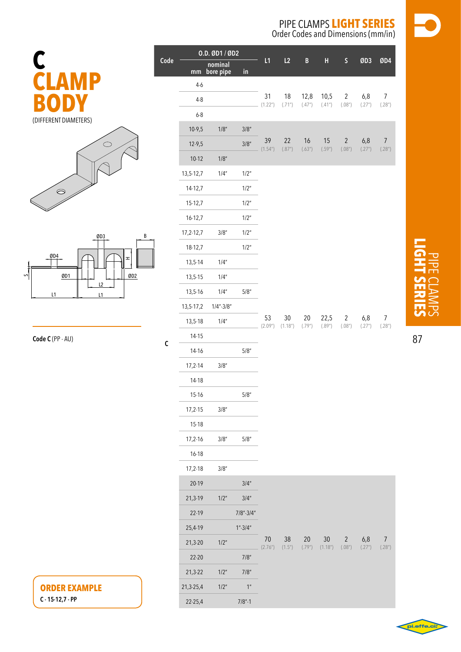Order Codes and Dimensions (mm/in)



|              | 0.D. ØD1 / ØD2  |                         |                |               |                            |                  |                |                          |               |                           |
|--------------|-----------------|-------------------------|----------------|---------------|----------------------------|------------------|----------------|--------------------------|---------------|---------------------------|
| Code         |                 | nominal<br>mm bore pipe | $\mathsf{in}$  | L1            | L2                         | B                | H              | $\mathsf S$              | ØD3           | ØD4                       |
|              | $4-6$           |                         |                |               |                            |                  |                |                          |               |                           |
|              | $4 - 8$         |                         |                | 31<br>(1.22") | 18<br>(.71")               | 12,8<br>(.47")   | 10,5<br>(.41") | $\overline{c}$<br>(.08") | 6,8<br>(.27") | $\overline{7}$<br>(.28")  |
|              | $6-8$           |                         |                |               |                            |                  |                |                          |               |                           |
|              | $10-9,5$        | 1/8"                    | 3/8''          |               |                            |                  |                |                          |               |                           |
|              | $12-9,5$        |                         | 3/8''          | 39<br>(1.54") | 22<br>(.87")               | 16<br>(.63")     | 15<br>(.59")   | $\sqrt{2}$<br>(.08")     | 6,8<br>(.27") | $\overline{7}$<br>(.28")  |
|              | $10 - 12$       | 1/8"                    |                |               |                            |                  |                |                          |               |                           |
|              | 13,5-12,7       | 1/4"                    | 1/2"           |               |                            |                  |                |                          |               |                           |
|              | 14-12,7         |                         | 1/2"           |               |                            |                  |                |                          |               |                           |
|              | $15-12,7$       |                         | 1/2"           |               |                            |                  |                |                          |               |                           |
|              | $16 - 12,7$     |                         | 1/2"           |               |                            |                  |                |                          |               |                           |
|              | $17,2-12,7$     | 3/8''                   | 1/2"           |               |                            |                  |                |                          |               |                           |
|              | 18-12,7         |                         | 1/2"           |               |                            |                  |                |                          |               |                           |
|              | $13,5-14$       | 1/4"                    |                |               |                            |                  |                |                          |               |                           |
|              | $13, 5 - 15$    | 1/4"                    |                |               |                            |                  |                |                          |               |                           |
|              | $13,5-16$       | 1/4''                   | $5/8"$         |               |                            |                  |                |                          |               |                           |
|              | $13, 5 - 17, 2$ | $1/4$ "- $3/8$ "        |                |               |                            |                  |                |                          |               |                           |
|              | $13, 5 - 18$    | 1/4''                   |                | 53<br>(2.09") | 30<br>(1.18 <sup>n</sup> ) | 20<br>(.79")     | 22,5<br>(.89") | $\overline{2}$<br>(.08") | 6,8<br>(.27") | 7<br>(.28 <sup>''</sup> ) |
| $\mathsf{C}$ | 14-15           |                         |                |               |                            |                  |                |                          |               |                           |
|              | 14-16           |                         | $5/8$          |               |                            |                  |                |                          |               |                           |
|              | $17,2-14$       | $3/8$ "                 |                |               |                            |                  |                |                          |               |                           |
|              | 14-18           |                         |                |               |                            |                  |                |                          |               |                           |
|              | 15-16           |                         | $5/8$          |               |                            |                  |                |                          |               |                           |
|              | $17,2-15$       | 3/8''                   |                |               |                            |                  |                |                          |               |                           |
|              | $15-18$         |                         |                |               |                            |                  |                |                          |               |                           |
|              | $17,2-16$       | $3/8$ "                 | $5/8"$         |               |                            |                  |                |                          |               |                           |
|              | $16 - 18$       |                         |                |               |                            |                  |                |                          |               |                           |
|              | $17,2-18$       | 3/8''                   |                |               |                            |                  |                |                          |               |                           |
|              | $20-19$         |                         | 3/4''          |               |                            |                  |                |                          |               |                           |
|              | $21,3-19$       | 1/2"                    | 3/4''          |               |                            |                  |                |                          |               |                           |
|              | 22-19           |                         | $7/8" - 3/4"$  |               |                            |                  |                |                          |               |                           |
|              | 25,4-19         |                         | 1".3/4"        |               |                            |                  |                |                          |               |                           |
|              | $21,3-20$       | 1/2"                    |                | 70<br>(2.76") | 38<br>(1.5")               | $20\,$<br>(.79") | 30<br>(1.18")  | $\sqrt{2}$<br>(.08")     | 6,8<br>(.27") | $\overline{7}$<br>(.28")  |
|              | $22 - 20$       |                         | 7/8"           |               |                            |                  |                |                          |               |                           |
|              | $21,3-22$       | 1/2"                    | 7/8"           |               |                            |                  |                |                          |               |                           |
|              | 21,3-25,4       | 1/2"                    | 1 <sup>n</sup> |               |                            |                  |                |                          |               |                           |
|              | $22 - 25,4$     |                         | $7/8" - 1$     |               |                            |                  |                |                          |               |                           |
|              |                 |                         |                |               |                            |                  |                |                          |               |                           |

### **C clamp body** (different diameters)





| Code C (PP - AU) |  |  |  |
|------------------|--|--|--|
|------------------|--|--|--|

**ORDER EXAMPLE C - 15-12,7 - PP**

# pipe clamps **light series**

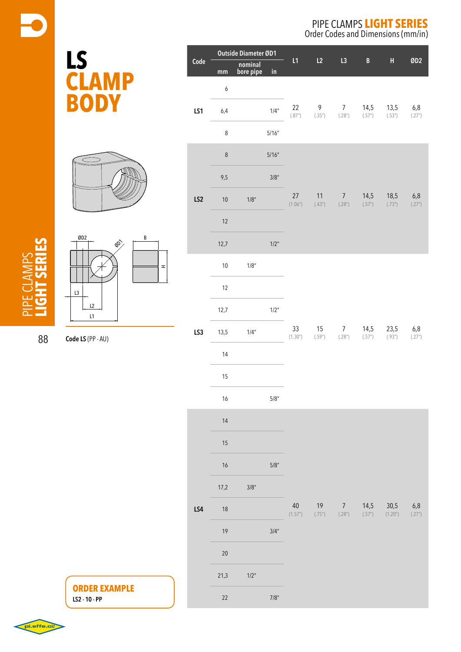Order Codes and Dimensions (mm/in)

|  | Outside Diameter ØD1<br>Code |                  |                      |                      |                   |                |                                        |                |                                   |                 |
|--|------------------------------|------------------|----------------------|----------------------|-------------------|----------------|----------------------------------------|----------------|-----------------------------------|-----------------|
|  |                              | mm               | nominal<br>bore pipe | $\mathsf{in}$        | L1                | L2             | L3                                     | B              | H                                 | ØD2             |
|  |                              | $\boldsymbol{6}$ |                      |                      |                   |                |                                        | 14,5<br>(.57") |                                   | 6,8<br>(.27")   |
|  | LS1                          | 6,4              |                      | 1/4''                | 22<br>(.87")      | 9<br>(.35")    | 7 <sup>7</sup><br>(.28")               |                | 13,5<br>(.53")                    |                 |
|  |                              | 8                |                      | 5/16''               |                   |                |                                        |                |                                   |                 |
|  |                              | $\,8\,$          |                      | 5/16''               |                   |                |                                        |                | 18,5<br>(.73")                    | 6,8<br>(.27")   |
|  |                              | 9,5              |                      | $3/8$ "              |                   |                |                                        | 14,5<br>(.57") |                                   |                 |
|  | LS <sub>2</sub>              | 10               | $1/8\ensuremath{''}$ |                      | 27<br>(1.06")     | $11$<br>(.43") | $\overline{7}$<br>(.28")               |                |                                   |                 |
|  |                              | 12               |                      |                      |                   |                |                                        |                |                                   |                 |
|  |                              | 12,7             |                      | 1/2"                 |                   |                |                                        |                |                                   |                 |
|  |                              | 10               | $1/8$ "              |                      |                   |                |                                        |                |                                   | $6,8$<br>(.27") |
|  | LS3                          | 12               |                      |                      |                   |                |                                        |                |                                   |                 |
|  |                              | 12,7             |                      | $1/2$ "              | 33<br>(1.30")     |                |                                        |                |                                   |                 |
|  |                              | 13,5             | 1/4"                 |                      |                   | 15<br>(.59")   | 7 <sup>7</sup><br>(.28")               | 14,5<br>(.57") | 23,5<br>(.93")                    |                 |
|  |                              | 14               |                      |                      |                   |                |                                        |                |                                   |                 |
|  |                              | 15               |                      |                      |                   |                |                                        |                |                                   |                 |
|  |                              | 16               |                      | $5/8^{\prime\prime}$ |                   |                |                                        |                |                                   |                 |
|  |                              | 14               |                      |                      |                   |                |                                        |                |                                   |                 |
|  |                              | 15               |                      |                      |                   |                |                                        |                |                                   |                 |
|  |                              | 16               |                      | $5/8$ "              |                   |                |                                        |                |                                   |                 |
|  |                              | 17,2             | 3/8''                |                      |                   |                |                                        |                |                                   |                 |
|  | LS4                          | 18               |                      |                      | $40\,$<br>(1.57") |                | $19 \overline{7}$<br>$(.75")$ $(.28")$ | (.57")         | 14,5 30,5<br>(1.20 <sup>n</sup> ) | 6,8<br>(.27")   |
|  |                              | 19               |                      | $3/4^{\prime\prime}$ |                   |                |                                        |                |                                   |                 |
|  |                              | 20               |                      |                      |                   |                |                                        |                |                                   |                 |
|  |                              | 21,3             | 1/2"                 |                      |                   |                |                                        |                |                                   |                 |
|  |                              | 22               |                      | $7/8\ensuremath{''}$ |                   |                |                                        |                |                                   |                 |

**ORDER EXAMPLE**

**LS2 - 10 - PP**

pipe clamps **light series**



**Code LS** (PP - AU)

**L** 

**clamp**

**body**

88

pi.effe.ci.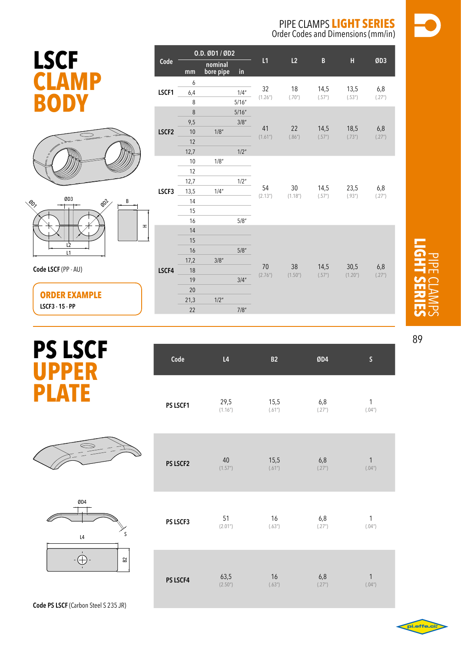Order Codes and Dimensions (mm/in)

|                        | e e    |
|------------------------|--------|
| <b>Service Service</b> |        |
|                        |        |
|                        | ٠<br>- |

|                                                          |       |         | 0.D. ØD1 / ØD2                        |               |                                |                 |                           |                 |
|----------------------------------------------------------|-------|---------|---------------------------------------|---------------|--------------------------------|-----------------|---------------------------|-----------------|
| <b>LSCF</b>                                              | Code  | mm      | nominal<br>bore pipe<br>$\mathsf{in}$ | L1            | L2                             | $\, {\bf B} \,$ | $\boldsymbol{\mathsf{H}}$ | ØD3             |
|                                                          |       | 6       |                                       |               | 18<br>(.70")                   | 14,5<br>(.57")  | 13,5<br>(.53")            | $6,8$<br>(.27") |
|                                                          | LSCF1 | 6,4     | 1/4''                                 | 32            |                                |                 |                           |                 |
|                                                          |       | 8       | 5/16''                                | (1.26)        |                                |                 |                           |                 |
|                                                          |       | $\,8\,$ | 5/16''                                |               |                                |                 |                           |                 |
|                                                          |       | 9,5     | 3/8''                                 |               |                                |                 |                           |                 |
|                                                          | LSCF2 | $10\,$  | 1/8''                                 | 41            | 22                             | 14,5            | 18,5                      | 6,8             |
|                                                          |       | 12      |                                       | (1.61")       | (.86")                         | (.57")          | (.73")                    | (.27")          |
|                                                          |       | 12,7    | $1/2$ "                               |               |                                |                 |                           |                 |
|                                                          | LSCF3 | $10\,$  | 1/8''                                 | 54<br>(2.13") |                                |                 |                           |                 |
|                                                          |       | 12      |                                       |               |                                |                 |                           |                 |
|                                                          |       | 12,7    | $1/2^{\prime\prime}$                  |               |                                |                 |                           |                 |
|                                                          |       | 13,5    | 1/4''                                 |               | $30\,$<br>(1.18 <sup>n</sup> ) | 14,5<br>(.57")  | 23,5                      | 6,8             |
| ØD3<br>$\phi_{\!\mathcal{O}\!{}^\mathcal{V}}$<br>B<br>G, |       | 14      |                                       |               |                                |                 | (.93")                    | (.27")          |
|                                                          |       | 15      |                                       |               |                                |                 |                           |                 |
|                                                          |       | 16      | $5/8''$                               |               |                                |                 |                           |                 |
| $\mathbf{r}% _{0}$                                       |       | 14      |                                       |               |                                |                 |                           |                 |
| $\mathsf{L}^{\flat}$                                     |       | 15      |                                       |               |                                |                 |                           |                 |
| L1                                                       |       | 16      | $5/8$ "                               |               |                                |                 |                           |                 |
|                                                          |       | 17,2    | 3/8''                                 |               |                                |                 |                           |                 |
| Code LSCF (PP - AU)                                      | LSCF4 | 18      |                                       | 70            | 38                             | 14,5            | 30,5                      | 6,8<br>(.27")   |
|                                                          |       | 19      | 3/4''                                 | (2.76")       | (1.50")                        | (.57")          | (1.20)                    |                 |
|                                                          |       | 20      |                                       |               |                                |                 |                           |                 |
| <b>ORDER EXAMPLE</b>                                     |       | 21,3    | $1/2$ "                               |               |                                |                 |                           |                 |
| LSCF3 - 15 - PP                                          |       | 22      | 7/8"                                  |               |                                |                 |                           |                 |
|                                                          |       |         |                                       |               |                                |                 |                           |                 |

## **PS** LS **upper plate**

|--|



|  |  | <b>Code PS LSCF</b> (Carbon Steel S 235 JR) |  |
|--|--|---------------------------------------------|--|
|  |  |                                             |  |

| Code     | L4                   | B <sub>2</sub> | ØD4    | S            |
|----------|----------------------|----------------|--------|--------------|
| PS LSCF1 | 29,5                 | 15,5           | 6,8    | $\mathbf{1}$ |
|          | (1.16")              | (.61")         | (.27") | (.04")       |
| PS LSCF2 | $40\,$               | 15,5           | 6,8    | $\mathbf{1}$ |
|          | (1.57")              | (.61")         | (.27") | (.04")       |
| PS LSCF3 | 51                   | 16             | 6,8    | $\mathbf{1}$ |
|          | (2.01")              | (.63")         | (.27") | (.04")       |
| PS LSCF4 | 63,5                 | 16             | 6,8    | $\mathbf{1}$ |
|          | (2.50 <sup>u</sup> ) | (.63")         | (.27") | (.04")       |



89

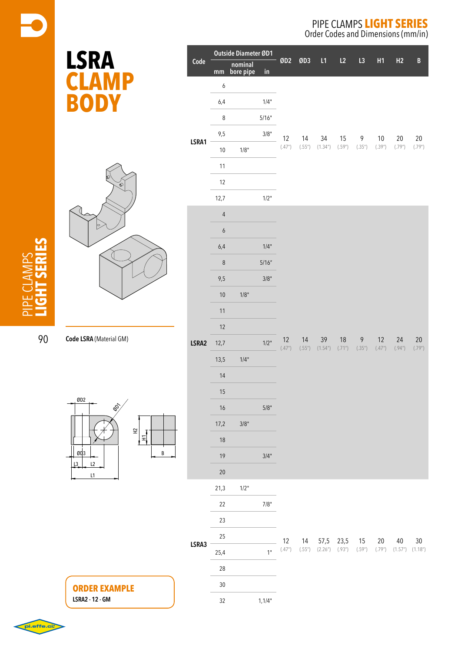Order Codes and Dimensions (mm/in)

| <b>LSRA</b>                     |       | Outside Diameter ØD1 |                      |                |                                          | L1           | L2                 | L3<br>H1                       |                                     | H2                                         | $\, {\bf B}$                 |                  |
|---------------------------------|-------|----------------------|----------------------|----------------|------------------------------------------|--------------|--------------------|--------------------------------|-------------------------------------|--------------------------------------------|------------------------------|------------------|
|                                 | Code  | mm                   | nominal<br>bore pipe | $\mathsf{in}$  | ØD <sub>2</sub>                          | ØD3          |                    |                                |                                     |                                            |                              |                  |
| $\blacksquare$                  |       | $\boldsymbol{6}$     |                      |                |                                          |              |                    |                                |                                     |                                            |                              |                  |
| ODY<br>B                        |       | $6,4$                |                      | 1/4"           |                                          |              |                    |                                |                                     |                                            |                              |                  |
|                                 |       | 8                    |                      | 5/16"          |                                          |              |                    |                                |                                     |                                            |                              |                  |
|                                 | LSRA1 | 9,5                  |                      | $3/8"$         | 12<br>(.47")                             | 14           | 34                 | $15$                           | 9                                   | $10\,$                                     | $20\,$                       | $20\,$<br>(.79") |
|                                 |       | $10\,$               | 1/8"                 |                |                                          | (.55")       | (1.34")            | (.59")                         | (.35")                              | (.39")                                     | (.79")                       |                  |
|                                 |       | 11                   |                      |                |                                          |              |                    |                                |                                     |                                            |                              |                  |
| r<br>Ô                          |       | $12\,$               |                      |                |                                          |              |                    |                                |                                     |                                            |                              |                  |
|                                 |       | 12,7                 |                      | 1/2"           |                                          |              |                    |                                |                                     |                                            |                              |                  |
| P                               |       | $\overline{4}$       |                      |                |                                          |              |                    |                                |                                     |                                            |                              |                  |
|                                 |       | $\boldsymbol{6}$     |                      |                |                                          |              |                    |                                |                                     |                                            |                              |                  |
|                                 |       | $6,4$                |                      | 1/4"           |                                          |              |                    |                                |                                     |                                            |                              |                  |
|                                 |       | $\,8\,$              |                      | 5/16''         |                                          |              |                    |                                |                                     |                                            |                              |                  |
|                                 | LSRA2 | 9,5                  |                      | $3/8"$         |                                          |              |                    |                                |                                     |                                            |                              |                  |
|                                 |       | $10\,$               | 1/8"                 |                | 12<br>$\left( .47^{\prime\prime}\right)$ |              |                    |                                |                                     |                                            |                              |                  |
|                                 |       | $11$                 |                      |                |                                          |              |                    |                                |                                     |                                            |                              |                  |
|                                 |       | $12$                 |                      |                |                                          |              |                    |                                |                                     |                                            |                              |                  |
| Code LSRA (Material GM)         |       | 12,7                 |                      | 1/2"           |                                          | 14<br>(.55") | 39<br>(1.54")      | $18$<br>$(.71^{\prime\prime})$ | $\boldsymbol{\mathsf{9}}$<br>(.35") | $12$<br>$\left( .47^{\prime\prime}\right)$ | 24<br>(.94")                 | 20<br>(.79")     |
|                                 |       | 13,5                 | 1/4"                 |                |                                          |              |                    |                                |                                     |                                            |                              |                  |
|                                 |       | $14\,$               |                      |                |                                          |              |                    |                                |                                     |                                            |                              |                  |
|                                 |       | 15                   |                      |                |                                          |              |                    |                                |                                     |                                            |                              |                  |
| ØD2<br>$\hat{\mathscr{E}}$      |       | $16\,$               |                      | $5/8"$         |                                          |              |                    |                                |                                     |                                            |                              |                  |
|                                 |       | 17,2                 | 3/8"                 |                |                                          |              |                    |                                |                                     |                                            |                              |                  |
| $\widetilde{\Xi}$<br>ן<br>דן    |       | $18$                 |                      |                |                                          |              |                    |                                |                                     |                                            |                              |                  |
| ØD <sub>3</sub><br>B            |       | 19                   |                      | 3/4"           |                                          |              |                    |                                |                                     |                                            |                              |                  |
| L2<br>$\lfloor 3 \rfloor$<br>L1 |       | $20\,$               |                      |                |                                          |              |                    |                                |                                     |                                            |                              |                  |
|                                 |       | 21,3                 | 1/2"                 |                |                                          |              |                    |                                |                                     |                                            |                              |                  |
|                                 |       | 22                   |                      | $7/8"$         |                                          |              |                    |                                |                                     |                                            |                              |                  |
|                                 |       | 23                   |                      |                |                                          |              |                    |                                |                                     |                                            |                              |                  |
|                                 |       | 25                   |                      |                | 12                                       | 14           |                    | 57,5 23,5                      | 15                                  | 20                                         | 40                           | $30\,$           |
|                                 | LSRA3 | 25,4                 |                      | 1 <sup>0</sup> | (.47")                                   | (.55")       | $(2.26")$ $(.93")$ |                                | (.59")                              |                                            | $(.79")$ $(1.57")$ $(1.18")$ |                  |
|                                 |       | $28\,$               |                      |                |                                          |              |                    |                                |                                     |                                            |                              |                  |
| <b>ORDER EXAMPLE</b>            |       | $30\,$               |                      |                |                                          |              |                    |                                |                                     |                                            |                              |                  |
| LSRA2 - 12 - GM                 |       | $32\,$               |                      | 1,1/4"         |                                          |              |                    |                                |                                     |                                            |                              |                  |

pipe clamps **light series**

90

ØD2  $\mathfrak{o}$  $L3$   $L2$  $L1$ 

pi.effe.ci: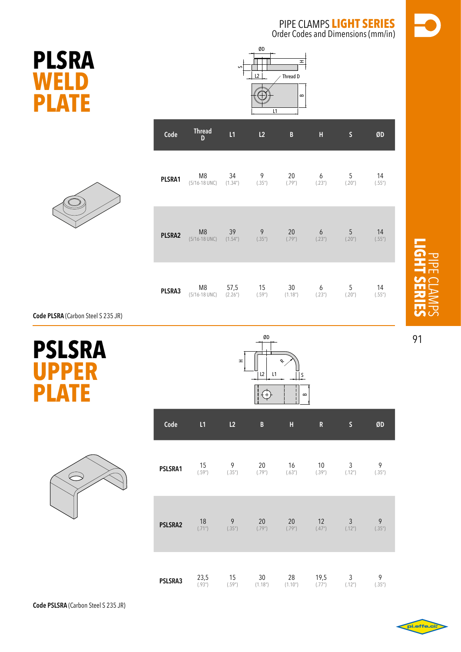**PLSRA weld plate**



| Code   | Thread<br>D                                 | L1                    | L2          | B                     | Н           | $\mathsf S$ | ØD           |
|--------|---------------------------------------------|-----------------------|-------------|-----------------------|-------------|-------------|--------------|
| PLSRA1 | M <sub>8</sub>                              | 34                    | 9           | 20                    | 6           | 5           | 14           |
|        | (5/16-18 UNC)                               | (1.34 <sup>''</sup> ) | (.35")      | (.79")                | (.23")      | (.20")      | (.55")       |
| PLSRA2 | M <sub>8</sub><br>$(5/16-18$ UNC) $(1.54n)$ | 39                    | 9<br>(.35") | 20<br>(.79")          | 6<br>(.23") | 5<br>(.20") | 14<br>(.55") |
| PLSRA3 | M8                                          | 57,5                  | 15          | 30                    | 6           | 5           | 14           |
|        | (5/16-18 UNC)                               | (2.26")               | (.59")      | (1.18 <sup>''</sup> ) | (.23")      | (.20")      | (.55")       |









| Code    | L1               | L2             | B             | H             | R              | S                        | ØD          |
|---------|------------------|----------------|---------------|---------------|----------------|--------------------------|-------------|
| PSLSRA1 | 15               | 9              | 20            | 16            | 10             | 3                        | 9           |
|         | (.59")           | (.35")         | (.79")        | (.63")        | (.39")         | (.12 <sup>n</sup> )      | (.35")      |
| PSLSRA2 | 18               | $\overline{9}$ | 20            | 20            | 12             | $\mathfrak{Z}$           | 9           |
|         | (.71")           | (.35")         | (.79")        | (.79")        | (.47")         | (.12 <sup>n</sup> )      | (.35")      |
| PSLSRA3 | $23,5$<br>(.93") | 15<br>(.59")   | 30<br>(1.18") | 28<br>(1.10") | 19,5<br>(.77") | 3<br>(.12 <sup>n</sup> ) | 9<br>(.35") |

pipe clamps **light series**

91

.effe.c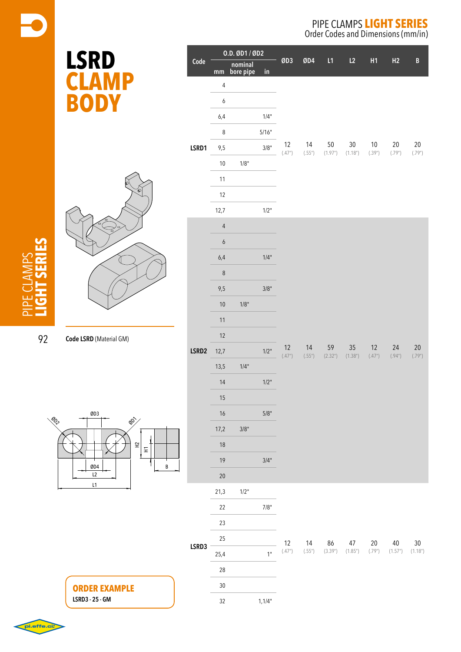Order Codes and Dimensions (mm/in)

| <b>LSRD</b>             | $\overline{Code}$ |                                    | 0.D. ØD1 / ØD2<br>nominal<br>mm bore pipe |               | ØD3    | ØD4    | L1      | L2                    | H1                                 | H2      | $\, {\bf B}$    |
|-------------------------|-------------------|------------------------------------|-------------------------------------------|---------------|--------|--------|---------|-----------------------|------------------------------------|---------|-----------------|
|                         |                   | $\overline{4}$<br>$\boldsymbol{6}$ |                                           | $\mathsf{in}$ |        |        |         |                       |                                    |         |                 |
| <b>BODY</b>             |                   | $6,4$                              |                                           | 1/4"          |        |        |         |                       |                                    |         |                 |
|                         |                   | $\bf 8$                            |                                           | 5/16"         |        |        |         |                       |                                    |         |                 |
|                         | LSRD1             | $9,5$                              |                                           | 3/8"          | 12     | 14     | $50\,$  | $30\,$                | $10\,$                             | $20\,$  | $20\,$          |
|                         |                   | $10\,$                             | 1/8"                                      |               | (.47") | (.55") | (1.97") | (1.18 <sup>n</sup> )  | (.39")                             | (.79")  | $(.79^{\circ})$ |
|                         |                   | 11                                 |                                           |               |        |        |         |                       |                                    |         |                 |
|                         |                   | $12\,$                             |                                           |               |        |        |         |                       |                                    |         |                 |
|                         |                   | 12,7                               |                                           | 1/2"          |        |        |         |                       |                                    |         |                 |
|                         |                   | $\overline{4}$                     |                                           |               |        |        |         |                       |                                    |         |                 |
|                         |                   | $\boldsymbol{6}$                   |                                           |               |        |        |         |                       |                                    |         |                 |
| Code LSRD (Material GM) |                   | $6,4$                              |                                           | 1/4"          |        |        |         |                       |                                    |         |                 |
|                         |                   | $\bf 8$                            |                                           |               |        |        |         |                       |                                    |         |                 |
|                         |                   | $9,5$                              |                                           | $3/8"$        |        |        |         |                       |                                    |         |                 |
|                         |                   | $10$                               | $1/8"$                                    |               |        |        |         |                       |                                    |         |                 |
|                         |                   | $11$                               |                                           |               |        |        |         |                       |                                    |         |                 |
|                         | LSRD2             | $12$                               |                                           |               |        |        |         |                       |                                    |         |                 |
|                         |                   | 12,7                               |                                           | 1/2"          | $12$   | $14$   | 59      | $35\,$                | 12                                 | 24      | $20\,$          |
|                         |                   | 13,5                               | 1/4"                                      |               | (.47") | (.55") | (2.32") | (1.38 <sup>''</sup> ) | $\left( .47^{\prime\prime}\right)$ | (.94")  | $(.79^{\circ})$ |
|                         |                   | 14                                 |                                           | $1/2"$        |        |        |         |                       |                                    |         |                 |
|                         |                   | 15                                 |                                           |               |        |        |         |                       |                                    |         |                 |
| ØD3                     |                   | 16                                 |                                           | $5/8"$        |        |        |         |                       |                                    |         |                 |
| <b>BY</b>               |                   | 17,2                               | 3/8"                                      |               |        |        |         |                       |                                    |         |                 |
| $\Xi$                   |                   | 18                                 |                                           |               |        |        |         |                       |                                    |         |                 |
| $\Xi$                   |                   | 19                                 |                                           | 3/4"          |        |        |         |                       |                                    |         |                 |
| ØD4<br>B<br>L2          |                   | $20\,$                             |                                           |               |        |        |         |                       |                                    |         |                 |
| L1                      |                   | 21,3                               | 1/2"                                      |               |        |        |         |                       |                                    |         |                 |
|                         |                   | 22                                 |                                           | $7/8"$        |        |        |         |                       |                                    |         |                 |
|                         |                   | 23                                 |                                           |               |        |        |         |                       |                                    |         |                 |
|                         |                   | 25                                 |                                           |               | 12     | 14     | 86      | 47                    | $20\,$                             | $40\,$  | $30\,$          |
|                         | LSRD3             | 25,4                               |                                           | $1^{\circ}$   | (.47") | (.55") | (3.39") | (1.85")               | (.79")                             | (1.57") | (1.18")         |
|                         |                   | 28                                 |                                           |               |        |        |         |                       |                                    |         |                 |
| <b>ORDER EXAMPLE</b>    |                   | $30\,$                             |                                           |               |        |        |         |                       |                                    |         |                 |
| LSRD3 - 25 - GM         |                   | 32                                 |                                           | 1,1/4"        |        |        |         |                       |                                    |         |                 |

pipe clamps **light series**

92

ØD2

pi.effe.ci.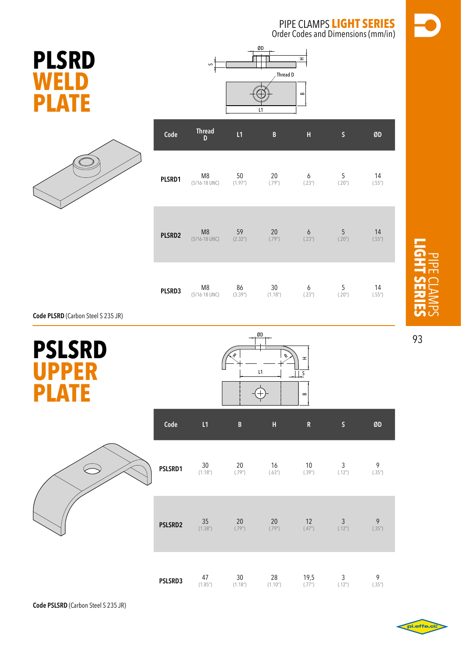Order Codes and Dimensions (mm/in)





|        | $\mathsf{\Omega}$  |                      | ØD<br>Thread D<br>L1  | H<br>$\mathbf{r}$ |                 |        |
|--------|--------------------|----------------------|-----------------------|-------------------|-----------------|--------|
| Code   | <b>Thread</b><br>D | L1                   | B                     | $\mathbf H$       | $\mathsf S$     | ØD     |
| PLSRD1 | M8                 | 50                   | 20                    | 6                 | $5\phantom{.0}$ | 14     |
|        | $(5/16 - 18$ UNC)  | (1.97 <sup>n</sup> ) | (.79")                | (.23")            | (.20")          | (.55") |
| PLSRD2 | M8                 | 59                   | 20                    | 6                 | 5               | 14     |
|        | (5/16-18 UNC)      | (2.32 <sup>n</sup> ) | (.79")                | (.23")            | (.20")          | (.55") |
| PLSRD3 | M8                 | 86                   | $30\,$                | 6                 | 5               | 14     |
|        | (5/16-18 UNC)      | (3.39")              | (1.18 <sup>''</sup> ) | (.23")            | (.20")          | (.55") |

**Code PLSRD** (Carbon Steel S 235 JR)

| <b>PSLSRD</b><br><b>UPPER</b><br><b>PLATE</b> |         |                            |                            | ØD<br>L1                   | $\pm$<br>S<br>$\bf{m}$ |                        |             |
|-----------------------------------------------|---------|----------------------------|----------------------------|----------------------------|------------------------|------------------------|-------------|
|                                               | Code    | L1                         | $\, {\bf B}$               | $\mathsf{H}$               | ${\bf R}$              | $\mathsf S$            | ØD          |
|                                               | PSLSRD1 | 30<br>(1.18 <sup>n</sup> ) | 20<br>(.79")               | 16<br>(.63")               | 10<br>(.39")           | 3<br>(.12")            | 9<br>(.35") |
|                                               | PSLSRD2 | $35\,$<br>(1.38")          | 20<br>(.79")               | 20<br>(.79")               | 12<br>(.47")           | $\mathbf{3}$<br>(.12") | 9<br>(.35") |
|                                               | PSLSRD3 | 47<br>(1.85")              | 30<br>(1.18 <sup>n</sup> ) | 28<br>(1.10 <sup>n</sup> ) | 19,5<br>(.77")         | 3<br>(.12")            | 9<br>(.35") |



93

pipe clamps **light series**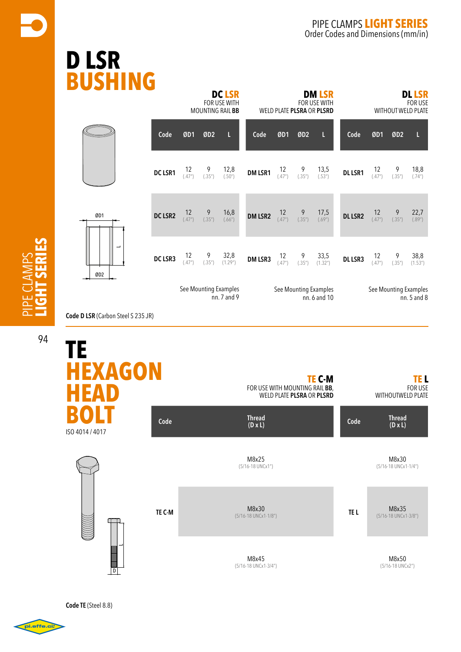# **D LS BUSHING**

|                      |         |              |                 | <b>DC LSR</b><br>FOR USE WITH<br>MOUNTING RAIL BB | <b>DM LSR</b><br>FOR USE WITH<br>WELD PLATE PLSRA OR PLSRD |                |                 |                                       |                | <b>DL LSR</b><br><b>FOR USE</b><br><b>WITHOUT WELD PLATE</b> |                 |                                      |  |  |  |
|----------------------|---------|--------------|-----------------|---------------------------------------------------|------------------------------------------------------------|----------------|-----------------|---------------------------------------|----------------|--------------------------------------------------------------|-----------------|--------------------------------------|--|--|--|
|                      | Code    | ØD1          | ØD <sub>2</sub> | L                                                 | Code                                                       | ØD1            | ØD <sub>2</sub> | L                                     | Code           | ØD1                                                          | ØD <sub>2</sub> | L                                    |  |  |  |
|                      | DC LSR1 | 12<br>(.47") | 9<br>(.35")     | 12,8<br>(.50")                                    | <b>DM LSR1</b>                                             | 12<br>(.47")   | 9<br>(.35")     | 13,5<br>(.53")                        | <b>DL LSR1</b> | 12<br>(.47")                                                 | 9<br>(.35")     | 18,8<br>(.74")                       |  |  |  |
| ØD1                  | DC LSR2 | 12<br>(.47") | 9<br>(.35")     | 16,8<br>(.66")                                    | DM LSR2                                                    | 12<br>(.47")   | 9<br>(.35")     | 17,5<br>(.69")                        | <b>DL LSR2</b> | 12<br>(.47")                                                 | 9<br>(.35")     | 22,7<br>(.89")                       |  |  |  |
| ب<br>ØD <sub>2</sub> | DC LSR3 | 12<br>(.47") | 9<br>(.35")     | 32,8<br>(1.29 <sup>u</sup> )                      | DM LSR3                                                    | $12$<br>(.47") | 9<br>(.35")     | 33,5<br>(1.32 <sup>n</sup> )          | <b>DL LSR3</b> | 12<br>(.47")                                                 | 9<br>(.35")     | 38,8<br>(1.53 <sup>''</sup> )        |  |  |  |
|                      |         |              |                 | See Mounting Examples<br>nn. 7 and 9              |                                                            |                |                 | See Mounting Examples<br>nn. 6 and 10 |                |                                                              |                 | See Mounting Examples<br>nn. 5 and 8 |  |  |  |

**Code D LSR** (Carbon Steel S 235 JR)



**Code TE** (Steel 8.8)

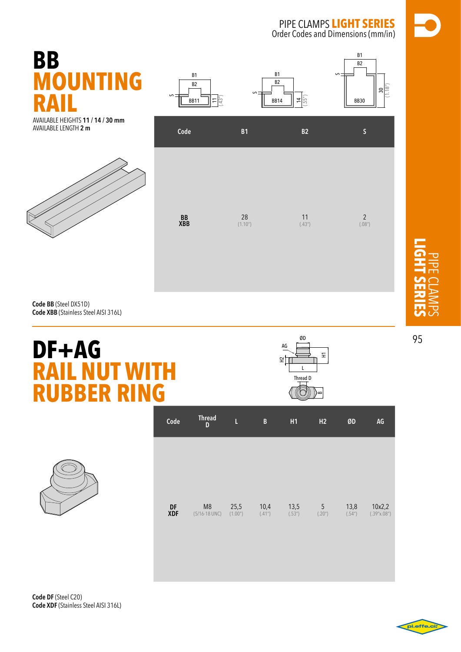S

B1  $\overline{B2}$ 

> 30  $(1.18")$



S

B1 B2

AVAILABLE HEIGHTS **11 / 14 / 30 mm**  AVAILABLE length **2 m**





B1 B2

s

**Code BB** (Steel DX51D) **Code XBB** (Stainless Steel AISI 316L)

# **DF+AG RAIL NUT WITH RUBBER RING**



pipe clamps **light series**



| Code             | <b>Thread</b><br>D                  | L               | B              | H1             | H <sub>2</sub> | ØD             | AG                    |
|------------------|-------------------------------------|-----------------|----------------|----------------|----------------|----------------|-----------------------|
|                  |                                     |                 |                |                |                |                |                       |
|                  |                                     |                 |                |                |                |                |                       |
| DF<br><b>XDF</b> | M <sub>8</sub><br>$(5/16 - 18$ UNC) | 25,5<br>(1.00") | 10,4<br>(.41") | 13,5<br>(.53") | 5<br>(.20")    | 13,8<br>(.54") | 10x2,2<br>(.39"x.08") |

**Code DF** (Steel C20) **Code XDF** (Stainless Steel AISI 316L)

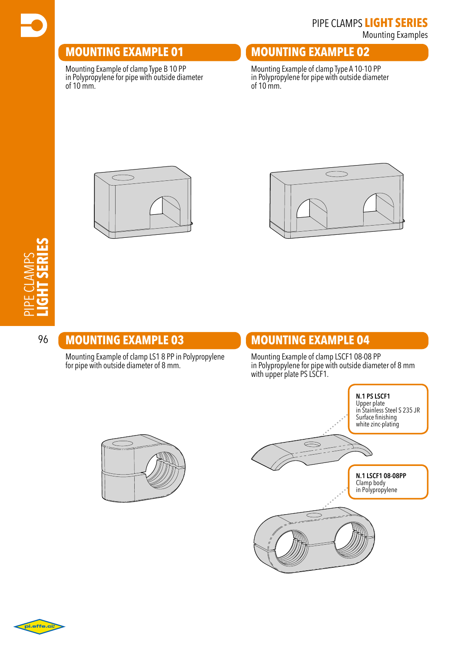#### **mounting EXAMPLE 01**

Mounting Example of clamp Type B 10 PP in Polypropylene for pipe with outside diameter of 10 mm.

#### **mounting EXAMPLE 02**

Mounting Example of clamp Type A 10-10 PP in Polypropylene for pipe with outside diameter of 10 mm.





#### 96 **mounting EXAMPLE 03**

Mounting Example of clamp LS1 8 PP in Polypropylene for pipe with outside diameter of 8 mm.

#### **mounting EXAMPLE 04**

Mounting Example of clamp LSCF1 08-08 PP in Polypropylene for pipe with outside diameter of 8 mm with upper plate PS LSCF1.





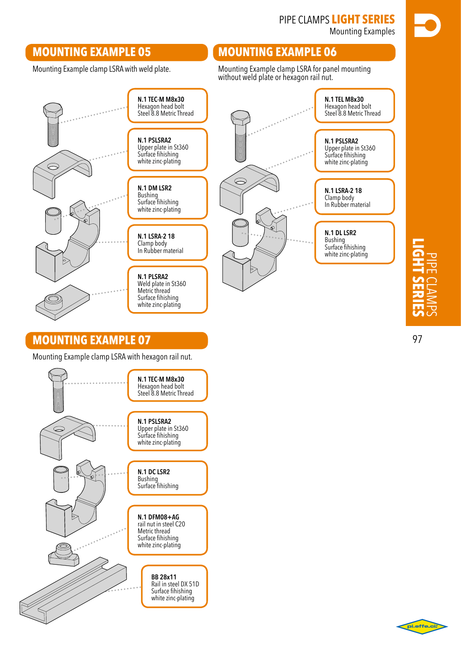Mounting Examples

#### **mounting EXAMPLE 05**

Mounting Example clamp LSRA with weld plate.

#### **mounting EXAMPLE 06**

Mounting Example clamp LSRA for panel mounting without weld plate or hexagon rail nut.



**N.1 DFM08+AG** rail nut in steel C20 Metric thread Surface fihishing white zinc-plating

> **BB 28x11** Rail in steel DX 51D Surface fihishing white zinc-plating